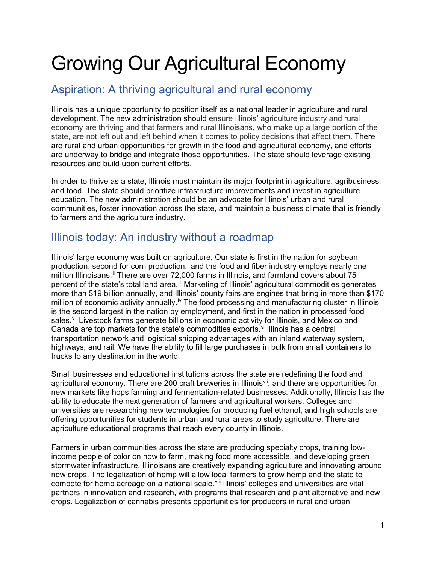# Growing Our Agricultural Economy

# Aspiration: A thriving agricultural and rural economy

Illinois has a unique opportunity to position itself as a national leader in agriculture and rural development. The new administration should ensure Illinois' agriculture industry and rural economy are thriving and that farmers and rural Illinoisans, who make up a large portion of the state, are not left out and left behind when it comes to policy decisions that affect them. There are rural and urban opportunities for growth in the food and agricultural economy, and efforts are underway to bridge and integrate those opportunities. The state should leverage existing resources and build upon current efforts.

In order to thrive as a state, Illinois must maintain its major footprint in agriculture, agribusiness, and food. The state should prioritize infrastructure improvements and invest in agriculture education. The new administration should be an advocate for Illinois' urban and rural communities, foster innovation across the state, and maintain a business climate that is friendly to farmers and the agriculture industry.

# Illinois today: An industry without a roadmap

Illinois' large economy was built on agriculture. Our state is first in the nation for soybean product[i](#page-2-0)on, second for corn production, $\mathbf{i}$  and the food and fiber industry employs nearly one million Illinoisans.<sup>[ii](#page-3-0)</sup> There are over 72,000 farms in Illinois, and farmland covers about 75 percent of the state's total land area.<sup>iii</sup> Marketing of Illinois' agricultural commodities generates more than \$19 billion annually, and Illinois' county fairs are engines that bring in more than \$170 million of economic act[iv](#page-3-2)ity annually.<sup>iv</sup> The food processing and manufacturing cluster in Illinois is the second largest in the nation by employment, and first in the nation in processed food sales.<sup>[v](#page-3-3)</sup> Livestock farms generate billions in economic activity for Illinois, and Mexico and Canada are top markets for the state's commodities exports. $vi$  Illinois has a central transportation network and logistical shipping advantages with an inland waterway system, highways, and rail. We have the ability to fill large purchases in bulk from small containers to trucks to any destination in the world.

Small businesses and educational institutions across the state are redefining the food and agricultural economy. There are 200 craft breweries in Illinois<sup>[vii](#page-3-5)</sup>, and there are opportunities for new markets like hops farming and fermentation-related businesses. Additionally, Illinois has the ability to educate the next generation of farmers and agricultural workers. Colleges and universities are researching new technologies for producing fuel ethanol, and high schools are offering opportunities for students in urban and rural areas to study agriculture. There are agriculture educational programs that reach every county in Illinois.

Farmers in urban communities across the state are producing specialty crops, training lowincome people of color on how to farm, making food more accessible, and developing green stormwater infrastructure. Illinoisans are creatively expanding agriculture and innovating around new crops. The legalization of hemp will allow local farmers to grow hemp and the state to compete for hemp acreage on a national scale. Vill Illinois' colleges and universities are vital partners in innovation and research, with programs that research and plant alternative and new crops. Legalization of cannabis presents opportunities for producers in rural and urban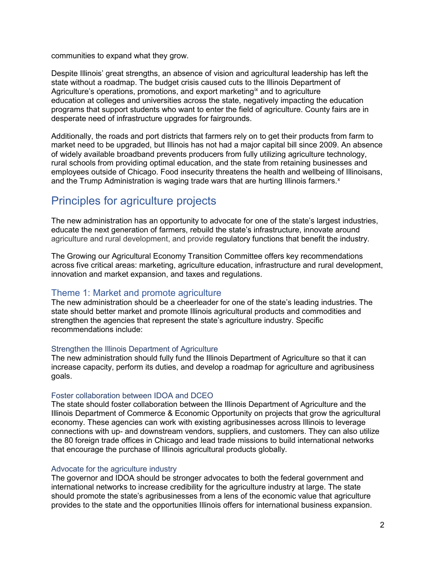communities to expand what they grow.

Despite Illinois' great strengths, an absence of vision and agricultural leadership has left the state without a roadmap. The budget crisis caused cuts to the Illinois Department of Agriculture's operations, promotions, and export marketing<sup>[ix](#page-3-7)</sup> and to agriculture education at colleges and universities across the state, negatively impacting the education programs that support students who want to enter the field of agriculture. County fairs are in desperate need of infrastructure upgrades for fairgrounds.

Additionally, the roads and port districts that farmers rely on to get their products from farm to market need to be upgraded, but Illinois has not had a major capital bill since 2009. An absence of widely available broadband prevents producers from fully utilizing agriculture technology, rural schools from providing optimal education, and the state from retaining businesses and employees outside of Chicago. Food insecurity threatens the health and wellbeing of Illinoisans, and the Trump Administration is waging trade wars that are hurting Illinois farmers. $x$ 

# Principles for agriculture projects

The new administration has an opportunity to advocate for one of the state's largest industries, educate the next generation of farmers, rebuild the state's infrastructure, innovate around agriculture and rural development, and provide regulatory functions that benefit the industry.

The Growing our Agricultural Economy Transition Committee offers key recommendations across five critical areas: marketing, agriculture education, infrastructure and rural development, innovation and market expansion, and taxes and regulations.

# Theme 1: Market and promote agriculture

The new administration should be a cheerleader for one of the state's leading industries. The state should better market and promote Illinois agricultural products and commodities and strengthen the agencies that represent the state's agriculture industry. Specific recommendations include:

# Strengthen the Illinois Department of Agriculture

The new administration should fully fund the Illinois Department of Agriculture so that it can increase capacity, perform its duties, and develop a roadmap for agriculture and agribusiness goals.

# Foster collaboration between IDOA and DCEO

The state should foster collaboration between the Illinois Department of Agriculture and the Illinois Department of Commerce & Economic Opportunity on projects that grow the agricultural economy. These agencies can work with existing agribusinesses across Illinois to leverage connections with up- and downstream vendors, suppliers, and customers. They can also utilize the 80 foreign trade offices in Chicago and lead trade missions to build international networks that encourage the purchase of Illinois agricultural products globally.

# Advocate for the agriculture industry

The governor and IDOA should be stronger advocates to both the federal government and international networks to increase credibility for the agriculture industry at large. The state should promote the state's agribusinesses from a lens of the economic value that agriculture provides to the state and the opportunities Illinois offers for international business expansion.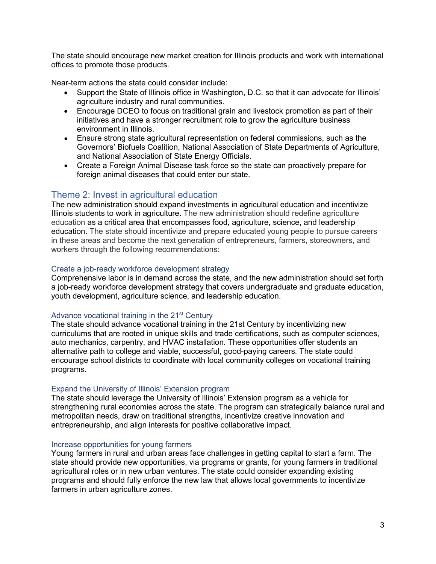The state should encourage new market creation for Illinois products and work with international offices to promote those products.

Near-term actions the state could consider include:

- Support the State of Illinois office in Washington, D.C. so that it can advocate for Illinois' agriculture industry and rural communities.
- Encourage DCEO to focus on traditional grain and livestock promotion as part of their initiatives and have a stronger recruitment role to grow the agriculture business environment in Illinois.
- Ensure strong state agricultural representation on federal commissions, such as the Governors' Biofuels Coalition, National Association of State Departments of Agriculture, and National Association of State Energy Officials.
- Create a Foreign Animal Disease task force so the state can proactively prepare for foreign animal diseases that could enter our state.

# Theme 2: Invest in agricultural education

The new administration should expand investments in agricultural education and incentivize Illinois students to work in agriculture. The new administration should redefine agriculture education as a critical area that encompasses food, agriculture, science, and leadership education. The state should incentivize and prepare educated young people to pursue careers in these areas and become the next generation of entrepreneurs, farmers, storeowners, and workers through the following recommendations:

### Create a job-ready workforce development strategy

Comprehensive labor is in demand across the state, and the new administration should set forth a job-ready workforce development strategy that covers undergraduate and graduate education, youth development, agriculture science, and leadership education.

# Advance vocational training in the 21<sup>st</sup> Century

The state should advance vocational training in the 21st Century by incentivizing new curriculums that are rooted in unique skills and trade certifications, such as computer sciences, auto mechanics, carpentry, and HVAC installation. These opportunities offer students an alternative path to college and viable, successful, good-paying careers*.* The state could encourage school districts to coordinate with local community colleges on vocational training programs.

# Expand the University of Illinois' Extension program

The state should leverage the University of Illinois' Extension program as a vehicle for strengthening rural economies across the state. The program can strategically balance rural and metropolitan needs, draw on traditional strengths, incentivize creative innovation and entrepreneurship, and align interests for positive collaborative impact.

#### Increase opportunities for young farmers

<span id="page-2-0"></span>Young farmers in rural and urban areas face challenges in getting capital to start a farm. The state should provide new opportunities, via programs or grants, for young farmers in traditional agricultural roles or in new urban ventures. The state could consider expanding existing programs and should fully enforce the new law that allows local governments to incentivize farmers in urban agriculture zones.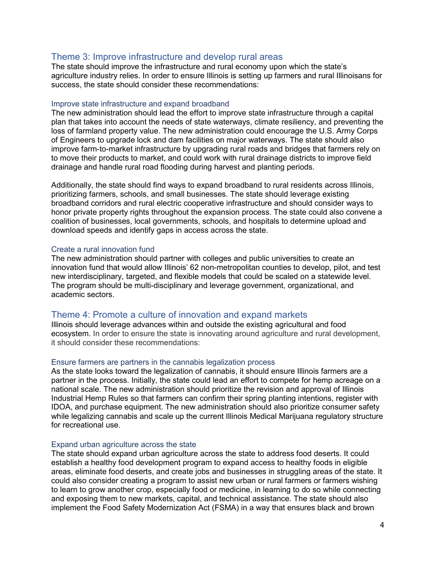# Theme 3: Improve infrastructure and develop rural areas

<span id="page-3-2"></span><span id="page-3-1"></span><span id="page-3-0"></span>The state should improve the infrastructure and rural economy upon which the state's agriculture industry relies. In order to ensure Illinois is setting up farmers and rural Illinoisans for success, the state should consider these recommendations:

#### <span id="page-3-4"></span><span id="page-3-3"></span>Improve state infrastructure and expand broadband

<span id="page-3-7"></span><span id="page-3-6"></span><span id="page-3-5"></span>The new administration should lead the effort to improve state infrastructure through a capital plan that takes into account the needs of state waterways, climate resiliency, and preventing the loss of farmland property value. The new administration could encourage the U.S. Army Corps of Engineers to upgrade lock and dam facilities on major waterways. The state should also improve farm-to-market infrastructure by upgrading rural roads and bridges that farmers rely on to move their products to market, and could work with rural drainage districts to improve field drainage and handle rural road flooding during harvest and planting periods.

<span id="page-3-8"></span>Additionally, the state should find ways to expand broadband to rural residents across Illinois, prioritizing farmers, schools, and small businesses. The state should leverage existing broadband corridors and rural electric cooperative infrastructure and should consider ways to honor private property rights throughout the expansion process. The state could also convene a coalition of businesses, local governments, schools, and hospitals to determine upload and download speeds and identify gaps in access across the state.

#### Create a rural innovation fund

The new administration should partner with colleges and public universities to create an innovation fund that would allow Illinois' 62 non-metropolitan counties to develop, pilot, and test new interdisciplinary, targeted, and flexible models that could be scaled on a statewide level. The program should be multi-disciplinary and leverage government, organizational, and academic sectors.

# Theme 4: Promote a culture of innovation and expand markets

Illinois should leverage advances within and outside the existing agricultural and food ecosystem. In order to ensure the state is innovating around agriculture and rural development, it should consider these recommendations:

#### Ensure farmers are partners in the cannabis legalization process

As the state looks toward the legalization of cannabis, it should ensure Illinois farmers are a partner in the process. Initially, the state could lead an effort to compete for hemp acreage on a national scale. The new administration should prioritize the revision and approval of Illinois Industrial Hemp Rules so that farmers can confirm their spring planting intentions, register with IDOA, and purchase equipment. The new administration should also prioritize consumer safety while legalizing cannabis and scale up the current Illinois Medical Marijuana regulatory structure for recreational use.

#### Expand urban agriculture across the state

The state should expand urban agriculture across the state to address food deserts. It could establish a healthy food development program to expand access to healthy foods in eligible areas, eliminate food deserts, and create jobs and businesses in struggling areas of the state. It could also consider creating a program to assist new urban or rural farmers or farmers wishing to learn to grow another crop, especially food or medicine, in learning to do so while connecting and exposing them to new markets, capital, and technical assistance. The state should also implement the Food Safety Modernization Act (FSMA) in a way that ensures black and brown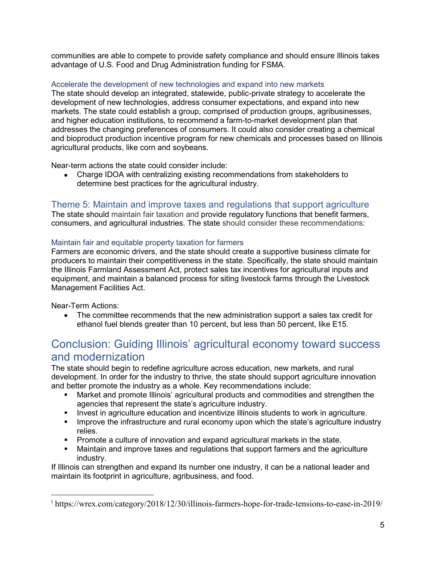communities are able to compete to provide safety compliance and should ensure Illinois takes advantage of U.S. Food and Drug Administration funding for FSMA.

# Accelerate the development of new technologies and expand into new markets

The state should develop an integrated, statewide, public-private strategy to accelerate the development of new technologies, address consumer expectations, and expand into new markets. The state could establish a group, comprised of production groups, agribusinesses, and higher education institutions, to recommend a farm-to-market development plan that addresses the changing preferences of consumers. It could also consider creating a chemical and bioproduct production incentive program for new chemicals and processes based on Illinois agricultural products, like corn and soybeans.

Near-term actions the state could consider include:

• Charge IDOA with centralizing existing recommendations from stakeholders to determine best practices for the agricultural industry.

# Theme 5: Maintain and improve taxes and regulations that support agriculture

The state should maintain fair taxation and provide regulatory functions that benefit farmers, consumers, and agricultural industries. The state should consider these recommendations:

# Maintain fair and equitable property taxation for farmers

Farmers are economic drivers, and the state should create a supportive business climate for producers to maintain their competitiveness in the state. Specifically, the state should maintain the Illinois Farmland Assessment Act, protect sales tax incentives for agricultural inputs and equipment, and maintain a balanced process for siting livestock farms through the Livestock Management Facilities Act.

Near-Term Actions:

 $\overline{a}$ 

• The committee recommends that the new administration support a sales tax credit for ethanol fuel blends greater than 10 percent, but less than 50 percent, like E15.

# Conclusion: Guiding Illinois' agricultural economy toward success and modernization

The state should begin to redefine agriculture across education, new markets, and rural development. In order for the industry to thrive, the state should support agriculture innovation and better promote the industry as a whole. Key recommendations include:

- Market and promote Illinois' agricultural products and commodities and strengthen the agencies that represent the state's agriculture industry.
- **Invest in agriculture education and incentivize Illinois students to work in agriculture.**
- Improve the infrastructure and rural economy upon which the state's agriculture industry relies.
- Promote a culture of innovation and expand agricultural markets in the state.
- Maintain and improve taxes and regulations that support farmers and the agriculture industry.

If Illinois can strengthen and expand its number one industry, it can be a national leader and maintain its footprint in agriculture, agribusiness, and food.

 $\frac{1}{1}$  https://wrex.com/category/2018/12/30/illinois-farmers-hope-for-trade-tensions-to-ease-in-2019/